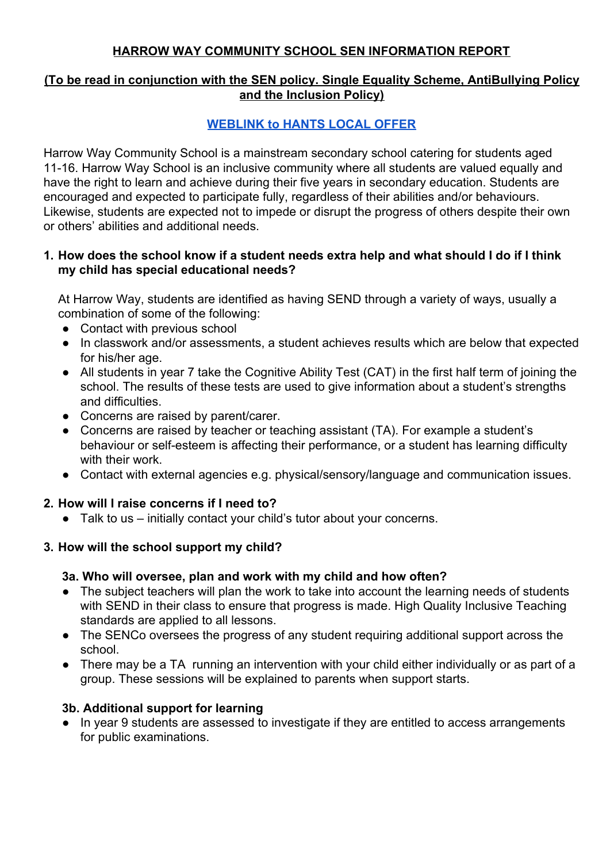### **HARROW WAY COMMUNITY SCHOOL SEN INFORMATION REPORT**

### **(To be read in conjunction with the SEN policy. Single Equality Scheme, AntiBullying Policy and the Inclusion Policy)**

## **[WEBLINK to HANTS LOCAL OFFER](https://fish.hants.gov.uk/kb5/hampshire/directory/localoffer.page?familychannel=6)**

Harrow Way Community School is a mainstream secondary school catering for students aged 11-16. Harrow Way School is an inclusive community where all students are valued equally and have the right to learn and achieve during their five years in secondary education. Students are encouraged and expected to participate fully, regardless of their abilities and/or behaviours. Likewise, students are expected not to impede or disrupt the progress of others despite their own or others' abilities and additional needs.

#### **1. How does the school know if a student needs extra help and what should I do if I think my child has special educational needs?**

At Harrow Way, students are identified as having SEND through a variety of ways, usually a combination of some of the following:

- Contact with previous school
- In classwork and/or assessments, a student achieves results which are below that expected for his/her age.
- All students in year 7 take the Cognitive Ability Test (CAT) in the first half term of joining the school. The results of these tests are used to give information about a student's strengths and difficulties.
- Concerns are raised by parent/carer.
- Concerns are raised by teacher or teaching assistant (TA). For example a student's behaviour or self-esteem is affecting their performance, or a student has learning difficulty with their work.
- Contact with external agencies e.g. physical/sensory/language and communication issues.

### **2. How will I raise concerns if I need to?**

● Talk to us – initially contact your child's tutor about your concerns.

### **3. How will the school support my child?**

### **3a. Who will oversee, plan and work with my child and how often?**

- The subject teachers will plan the work to take into account the learning needs of students with SEND in their class to ensure that progress is made. High Quality Inclusive Teaching standards are applied to all lessons.
- The SENCo oversees the progress of any student requiring additional support across the school.
- There may be a TA running an intervention with your child either individually or as part of a group. These sessions will be explained to parents when support starts.

### **3b. Additional support for learning**

● In year 9 students are assessed to investigate if they are entitled to access arrangements for public examinations.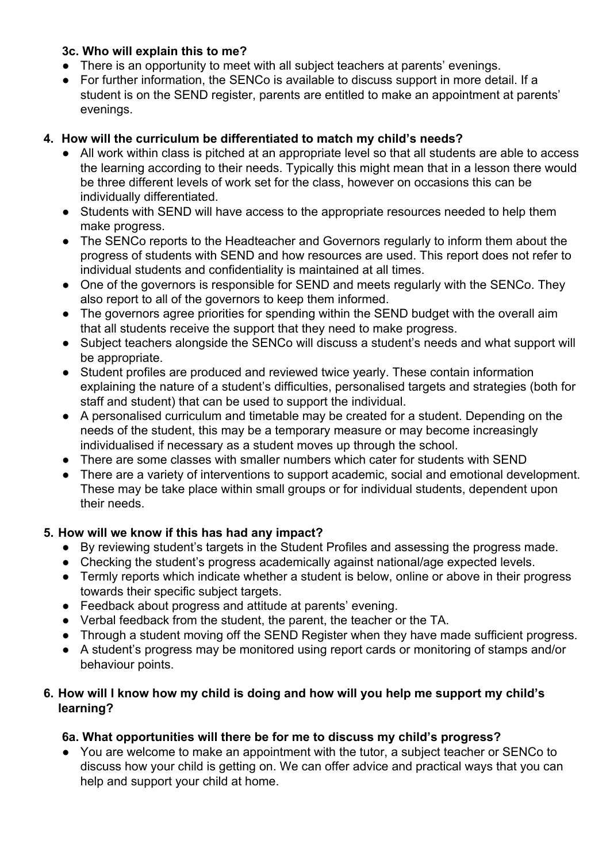### **3c. Who will explain this to me?**

- There is an opportunity to meet with all subject teachers at parents' evenings.
- For further information, the SENCo is available to discuss support in more detail. If a student is on the SEND register, parents are entitled to make an appointment at parents' evenings.

### **4. How will the curriculum be differentiated to match my child's needs?**

- All work within class is pitched at an appropriate level so that all students are able to access the learning according to their needs. Typically this might mean that in a lesson there would be three different levels of work set for the class, however on occasions this can be individually differentiated.
- Students with SEND will have access to the appropriate resources needed to help them make progress.
- The SENCo reports to the Headteacher and Governors regularly to inform them about the progress of students with SEND and how resources are used. This report does not refer to individual students and confidentiality is maintained at all times.
- One of the governors is responsible for SEND and meets regularly with the SENCo. They also report to all of the governors to keep them informed.
- The governors agree priorities for spending within the SEND budget with the overall aim that all students receive the support that they need to make progress.
- Subject teachers alongside the SENCo will discuss a student's needs and what support will be appropriate.
- Student profiles are produced and reviewed twice yearly. These contain information explaining the nature of a student's difficulties, personalised targets and strategies (both for staff and student) that can be used to support the individual.
- A personalised curriculum and timetable may be created for a student. Depending on the needs of the student, this may be a temporary measure or may become increasingly individualised if necessary as a student moves up through the school.
- There are some classes with smaller numbers which cater for students with SEND
- There are a variety of interventions to support academic, social and emotional development. These may be take place within small groups or for individual students, dependent upon their needs.

# **5. How will we know if this has had any impact?**

- By reviewing student's targets in the Student Profiles and assessing the progress made.
- Checking the student's progress academically against national/age expected levels.
- Termly reports which indicate whether a student is below, online or above in their progress towards their specific subject targets.
- Feedback about progress and attitude at parents' evening.
- Verbal feedback from the student, the parent, the teacher or the TA.
- Through a student moving off the SEND Register when they have made sufficient progress.
- A student's progress may be monitored using report cards or monitoring of stamps and/or behaviour points.

### **6. How will I know how my child is doing and how will you help me support my child's learning?**

# **6a. What opportunities will there be for me to discuss my child's progress?**

● You are welcome to make an appointment with the tutor, a subject teacher or SENCo to discuss how your child is getting on. We can offer advice and practical ways that you can help and support your child at home.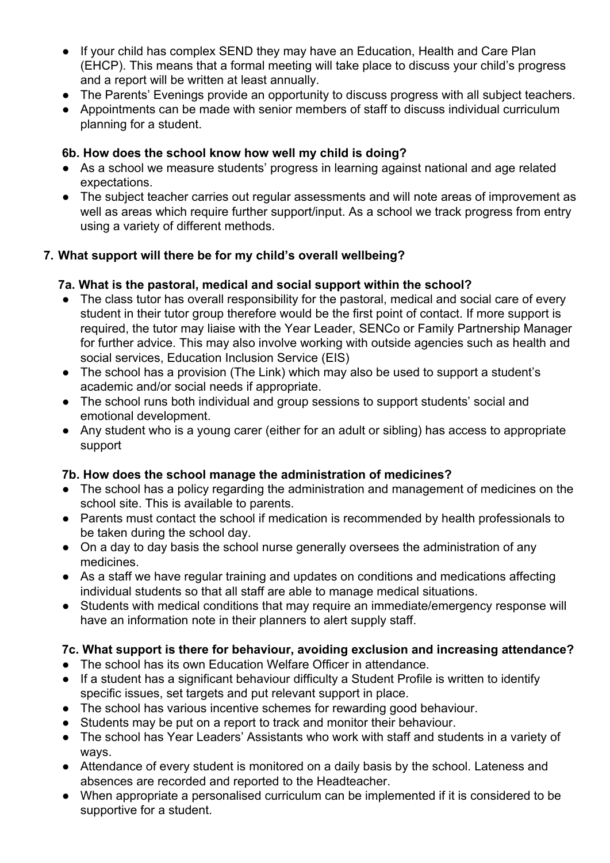- If your child has complex SEND they may have an Education, Health and Care Plan (EHCP). This means that a formal meeting will take place to discuss your child's progress and a report will be written at least annually.
- The Parents' Evenings provide an opportunity to discuss progress with all subject teachers.
- Appointments can be made with senior members of staff to discuss individual curriculum planning for a student.

### **6b. How does the school know how well my child is doing?**

- As a school we measure students' progress in learning against national and age related expectations.
- The subject teacher carries out regular assessments and will note areas of improvement as well as areas which require further support/input. As a school we track progress from entry using a variety of different methods.

# **7. What support will there be for my child's overall wellbeing?**

## **7a. What is the pastoral, medical and social support within the school?**

- The class tutor has overall responsibility for the pastoral, medical and social care of every student in their tutor group therefore would be the first point of contact. If more support is required, the tutor may liaise with the Year Leader, SENCo or Family Partnership Manager for further advice. This may also involve working with outside agencies such as health and social services, Education Inclusion Service (EIS)
- The school has a provision (The Link) which may also be used to support a student's academic and/or social needs if appropriate.
- The school runs both individual and group sessions to support students' social and emotional development.
- Any student who is a young carer (either for an adult or sibling) has access to appropriate support

# **7b. How does the school manage the administration of medicines?**

- The school has a policy regarding the administration and management of medicines on the school site. This is available to parents.
- Parents must contact the school if medication is recommended by health professionals to be taken during the school day.
- On a day to day basis the school nurse generally oversees the administration of any medicines.
- As a staff we have regular training and updates on conditions and medications affecting individual students so that all staff are able to manage medical situations.
- Students with medical conditions that may require an immediate/emergency response will have an information note in their planners to alert supply staff.

# **7c. What support is there for behaviour, avoiding exclusion and increasing attendance?**

- The school has its own Education Welfare Officer in attendance.
- If a student has a significant behaviour difficulty a Student Profile is written to identify specific issues, set targets and put relevant support in place.
- The school has various incentive schemes for rewarding good behaviour.
- Students may be put on a report to track and monitor their behaviour.
- The school has Year Leaders' Assistants who work with staff and students in a variety of ways.
- Attendance of every student is monitored on a daily basis by the school. Lateness and absences are recorded and reported to the Headteacher.
- When appropriate a personalised curriculum can be implemented if it is considered to be supportive for a student.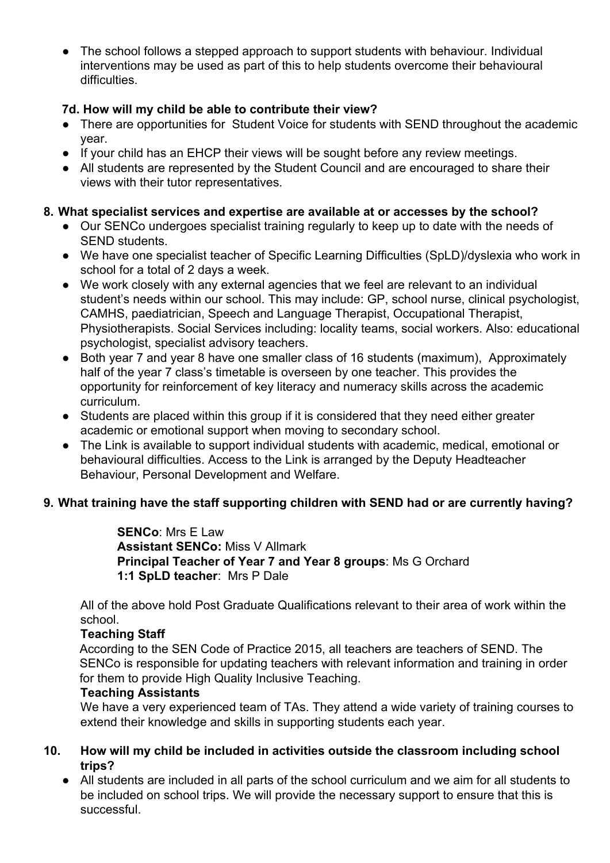• The school follows a stepped approach to support students with behaviour. Individual interventions may be used as part of this to help students overcome their behavioural difficulties.

### **7d. How will my child be able to contribute their view?**

- There are opportunities for Student Voice for students with SEND throughout the academic year.
- If your child has an EHCP their views will be sought before any review meetings.
- All students are represented by the Student Council and are encouraged to share their views with their tutor representatives.

# **8. What specialist services and expertise are available at or accesses by the school?**

- Our SENCo undergoes specialist training regularly to keep up to date with the needs of SEND students.
- We have one specialist teacher of Specific Learning Difficulties (SpLD)/dyslexia who work in school for a total of 2 days a week.
- We work closely with any external agencies that we feel are relevant to an individual student's needs within our school. This may include: GP, school nurse, clinical psychologist, CAMHS, paediatrician, Speech and Language Therapist, Occupational Therapist, Physiotherapists. Social Services including: locality teams, social workers. Also: educational psychologist, specialist advisory teachers.
- Both year 7 and year 8 have one smaller class of 16 students (maximum), Approximately half of the year 7 class's timetable is overseen by one teacher. This provides the opportunity for reinforcement of key literacy and numeracy skills across the academic curriculum.
- Students are placed within this group if it is considered that they need either greater academic or emotional support when moving to secondary school.
- The Link is available to support individual students with academic, medical, emotional or behavioural difficulties. Access to the Link is arranged by the Deputy Headteacher Behaviour, Personal Development and Welfare.

# **9. What training have the staff supporting children with SEND had or are currently having?**

**SENCo**: Mrs E Law **Assistant SENCo:** Miss V Allmark **Principal Teacher of Year 7 and Year 8 groups**: Ms G Orchard **1:1 SpLD teacher**: Mrs P Dale

All of the above hold Post Graduate Qualifications relevant to their area of work within the school.

### **Teaching Staff**

According to the SEN Code of Practice 2015, all teachers are teachers of SEND. The SENCo is responsible for updating teachers with relevant information and training in order for them to provide High Quality Inclusive Teaching.

### **Teaching Assistants**

We have a very experienced team of TAs. They attend a wide variety of training courses to extend their knowledge and skills in supporting students each year.

### **10. How will my child be included in activities outside the classroom including school trips?**

● All students are included in all parts of the school curriculum and we aim for all students to be included on school trips. We will provide the necessary support to ensure that this is successful.